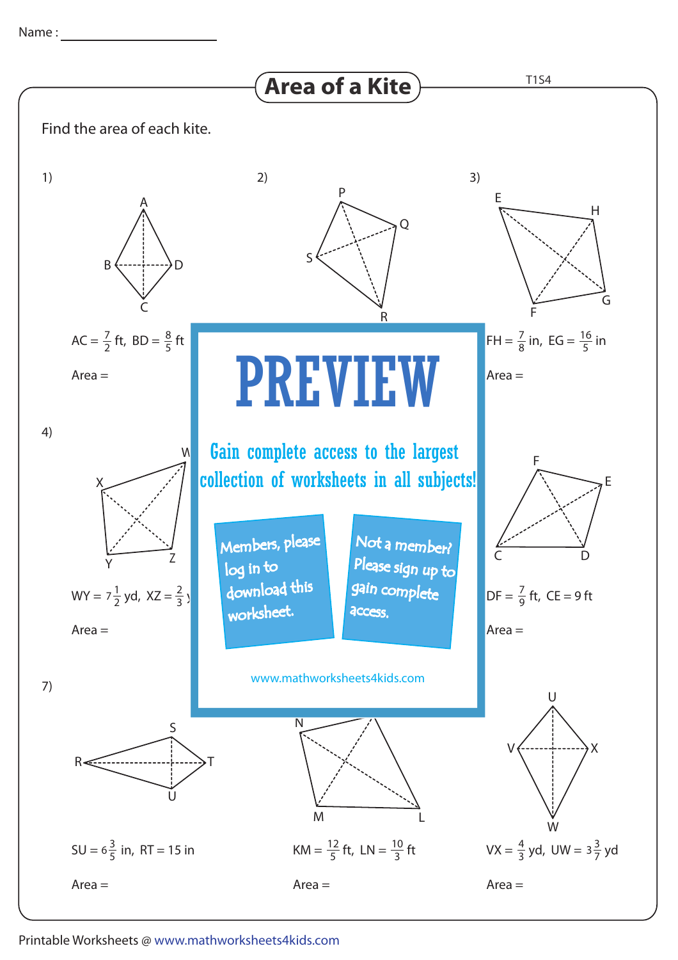